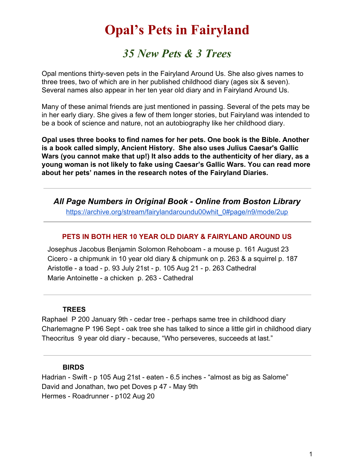# **Opal's Pets in Fairyland**

*35 New Pets & 3 Trees*

Opal mentions thirty-seven pets in the Fairyland Around Us. She also gives names to three trees, two of which are in her published childhood diary (ages six & seven). Several names also appear in her ten year old diary and in Fairyland Around Us.

Many of these animal friends are just mentioned in passing. Several of the pets may be in her early diary. She gives a few of them longer stories, but Fairyland was intended to be a book of science and nature, not an autobiography like her childhood diary.

**Opal uses three books to find names for her pets. One book is the Bible. Another is a book called simply, Ancient History. She also uses Julius Caesar's Gallic Wars (you cannot make that up!) It also adds to the authenticity of her diary, as a young woman is not likely to fake using Caesar's Gallic Wars. You can read more about her pets' names in the research notes of the Fairyland Diaries.**

*All Page Numbers in Original Book - Online from Boston Library* [https://archive.org/stream/fairylandaroundu00whit\\_0#page/n9/mode/2up](https://archive.org/stream/fairylandaroundu00whit_0#page/n9/mode/2up)

# **PETS IN BOTH HER 10 YEAR OLD DIARY & FAIRYLAND AROUND US**

 Josephus Jacobus Benjamin Solomon Rehoboam - a mouse p. 161 August 23 Cicero - a chipmunk in 10 year old diary & chipmunk on p. 263 & a squirrel p. 187 Aristotle - a toad - p. 93 July 21st - p. 105 Aug 21 - p. 263 Cathedral Marie Antoinette - a chicken p. 263 - Cathedral

#### **TREES**

Raphael P 200 January 9th - cedar tree - perhaps same tree in childhood diary Charlemagne P 196 Sept - oak tree she has talked to since a little girl in childhood diary Theocritus 9 year old diary - because, "Who perseveres, succeeds at last."

#### **BIRDS**

Hadrian - Swift - p 105 Aug 21st - eaten - 6.5 inches - "almost as big as Salome" David and Jonathan, two pet Doves p 47 - May 9th Hermes - Roadrunner - p102 Aug 20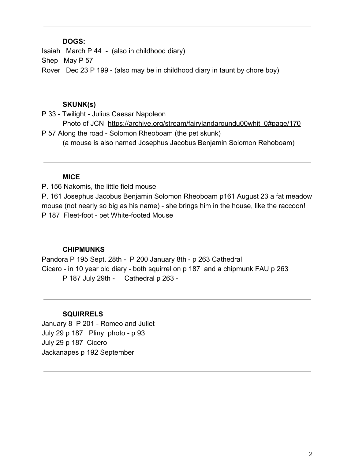#### **DOGS:**

Isaiah March P 44 - (also in childhood diary) Shep May P 57 Rover Dec 23 P 199 - (also may be in childhood diary in taunt by chore boy)

#### **SKUNK(s)**

P 33 - Twilight - Julius Caesar Napoleon Photo of JCN [https://archive.org/stream/fairylandaroundu00whit\\_0#page/170](https://archive.org/stream/fairylandaroundu00whit_0#page/170/mode/2up) P 57 Along the road - Solomon Rheoboam (the pet skunk) (a mouse is also named Josephus Jacobus Benjamin Solomon Rehoboam)

# **MICE**

P. 156 Nakomis, the little field mouse P. 161 Josephus Jacobus Benjamin Solomon Rheoboam p161 August 23 a fat meadow mouse (not nearly so big as his name) - she brings him in the house, like the raccoon! P 187 Fleet-foot - pet White-footed Mouse

# **CHIPMUNKS**

Pandora P 195 Sept. 28th - P 200 January 8th - p 263 Cathedral Cicero - in 10 year old diary - both squirrel on p 187 and a chipmunk FAU p 263 P 187 July 29th - Cathedral p 263 -

# **SQUIRRELS**

January 8 P 201 - Romeo and Juliet July 29 p 187 Pliny photo - p 93 July 29 p 187 Cicero Jackanapes p 192 September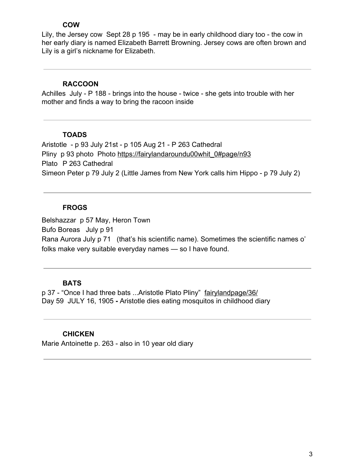#### **COW**

Lily, the Jersey cow Sept 28 p 195 - may be in early childhood diary too - the cow in her early diary is named Elizabeth Barrett Browning. Jersey cows are often brown and Lily is a girl's nickname for Elizabeth.

#### **RACCOON**

Achilles July - P 188 - brings into the house - twice - she gets into trouble with her mother and finds a way to bring the racoon inside

#### **TOADS**

Aristotle - p 93 July 21st - p 105 Aug 21 - P 263 Cathedral Pliny p 93 photo Photo [https://fairylandaroundu00whit\\_0#page/n93](https://archive.org/stream/fairylandaroundu00whit_0#page/n93/mode/2up) Plato P 263 Cathedral Simeon Peter p 79 July 2 (Little James from New York calls him Hippo - p 79 July 2)

# **FROGS**

Belshazzar p 57 May, Heron Town Bufo Boreas July p 91 Rana Aurora July p 71 (that's his scientific name). Sometimes the scientific names o' folks make very suitable everyday names — so I have found.

# **BATS**

p 37 - "Once I had three bats ...Aristotle Plato Pliny" [fairylandpage/36/](https://archive.org/stream/fairylandaroundu00whit_0#page/36/mode/2up) Day 59 JULY 16, 1905 **-** Aristotle dies eating mosquitos in childhood diary

# **CHICKEN**

Marie Antoinette p. 263 - also in 10 year old diary